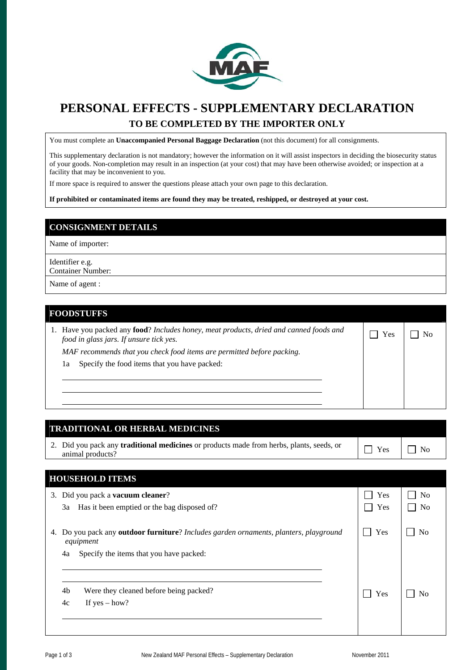

# **PERSONAL EFFECTS - SUPPLEMENTARY DECLARATION TO BE COMPLETED BY THE IMPORTER ONLY**

You must complete an **Unaccompanied Personal Baggage Declaration** (not this document) for all consignments.

This supplementary declaration is not mandatory; however the information on it will assist inspectors in deciding the biosecurity status of your goods. Non-completion may result in an inspection (at your cost) that may have been otherwise avoided; or inspection at a facility that may be inconvenient to you.

If more space is required to answer the questions please attach your own page to this declaration.

**If prohibited or contaminated items are found they may be treated, reshipped, or destroyed at your cost.** 

#### **CONSIGNMENT DETAILS**

Name of importer:

Identifier e.g. Container Number:

Name of agent :

#### **FOODSTUFFS**

l l l

| 1. Have you packed any <b>food</b> ? Includes honey, meat products, dried and canned foods and<br>food in glass jars. If unsure tick yes. | $\neg$ Yes |  |
|-------------------------------------------------------------------------------------------------------------------------------------------|------------|--|
| MAF recommends that you check food items are permitted before packing.                                                                    |            |  |
| Specify the food items that you have packed:<br>1a                                                                                        |            |  |

### **TRADITIONAL OR HERBAL MEDICINES**

2. Did you pack any **traditional medicines** or products made from herbs, plants, seeds, or  $\Box$  Yes  $\Box$  No animal products?

N<sub>o</sub>

| <b>HOUSEHOLD ITEMS</b>                                                                                        |                      |                                  |
|---------------------------------------------------------------------------------------------------------------|----------------------|----------------------------------|
| 3. Did you pack a <b>vacuum cleaner</b> ?<br>Has it been emptied or the bag disposed of?<br>3a                | Yes<br>Yes<br>$\Box$ | N <sub>0</sub><br>N <sub>0</sub> |
| Do you pack any <b>outdoor furniture</b> ? Includes garden ornaments, planters, playground<br>4.<br>equipment | Yes                  | No                               |
| Specify the items that you have packed:<br>4a                                                                 |                      |                                  |
| 4b<br>Were they cleaned before being packed?<br>If $yes - how?$<br>4c                                         | Yes                  |                                  |
|                                                                                                               |                      |                                  |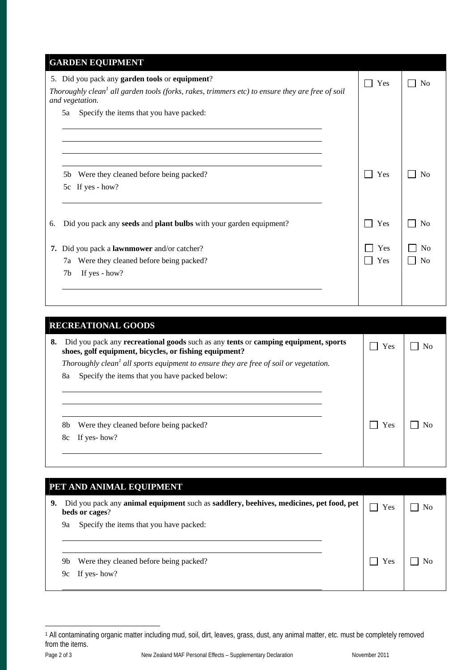| <b>GARDEN EQUIPMENT</b>                                                                                                                                                          |            |                                  |
|----------------------------------------------------------------------------------------------------------------------------------------------------------------------------------|------------|----------------------------------|
| 5. Did you pack any garden tools or equipment?<br>Thoroughly clean <sup>1</sup> all garden tools (forks, rakes, trimmers etc) to ensure they are free of soil<br>and vegetation. | Yes        | N <sub>0</sub>                   |
| Specify the items that you have packed:<br>5a                                                                                                                                    |            |                                  |
| Were they cleaned before being packed?<br>5b<br>If yes - how?<br>5c                                                                                                              | Yes<br>- 1 | N <sub>0</sub>                   |
| Did you pack any seeds and plant bulbs with your garden equipment?<br>6.                                                                                                         | Yes<br>- 1 | N <sub>o</sub>                   |
| Did you pack a <b>lawnmower</b> and/or catcher?<br>7.<br>Were they cleaned before being packed?<br>7a<br>If yes - how?<br>7 <sub>b</sub>                                         | Yes<br>Yes | N <sub>0</sub><br>N <sub>0</sub> |

| <b>RECREATIONAL GOODS</b> |                                                                                                                                              |     |    |
|---------------------------|----------------------------------------------------------------------------------------------------------------------------------------------|-----|----|
| 8.                        | Did you pack any recreational goods such as any tents or camping equipment, sports<br>shoes, golf equipment, bicycles, or fishing equipment? | Yes | Nο |
|                           | Thoroughly clean <sup>1</sup> all sports equipment to ensure they are free of soil or vegetation.                                            |     |    |
|                           | Specify the items that you have packed below:<br>8a                                                                                          |     |    |
|                           |                                                                                                                                              |     |    |
|                           |                                                                                                                                              |     |    |
|                           |                                                                                                                                              |     |    |
|                           | 8b<br>Were they cleaned before being packed?                                                                                                 | Yes |    |
|                           | If yes- how?<br>8с                                                                                                                           |     |    |
|                           |                                                                                                                                              |     |    |
|                           |                                                                                                                                              |     |    |

| PET AND ANIMAL EQUIPMENT |    |                                                                                                          |     |  |
|--------------------------|----|----------------------------------------------------------------------------------------------------------|-----|--|
| 9.                       |    | Did you pack any animal equipment such as saddlery, beehives, medicines, pet food, pet<br>beds or cages? | Yes |  |
|                          | 9а | Specify the items that you have packed:                                                                  |     |  |
|                          | 9b | Were they cleaned before being packed?                                                                   | Yes |  |
|                          | 9с | If yes- how?                                                                                             |     |  |

 $\overline{a}$ 1 All contaminating organic matter including mud, soil, dirt, leaves, grass, dust, any animal matter, etc. must be completely removed from the items.